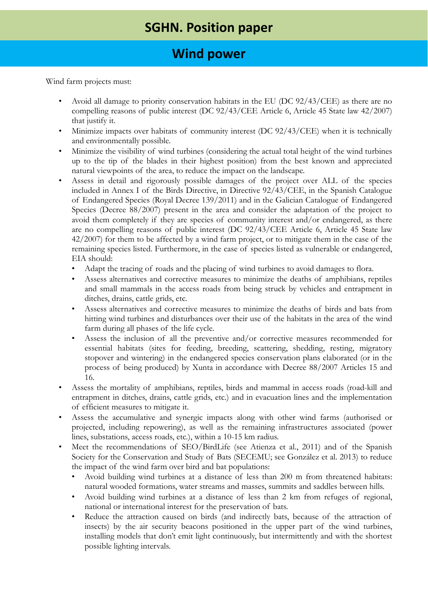# **Wind power**

Wind farm projects must:

- Avoid all damage to priority conservation habitats in the EU (DC 92/43/CEE) as there are no compelling reasons of public interest (DC 92/43/CEE Article 6, Article 45 State law 42/2007) that justify it.
- Minimize impacts over habitats of community interest (DC 92/43/CEE) when it is technically and environmentally possible.
- Minimize the visibility of wind turbines (considering the actual total height of the wind turbines up to the tip of the blades in their highest position) from the best known and appreciated natural viewpoints of the area, to reduce the impact on the landscape.
- Assess in detail and rigorously possible damages of the project over ALL of the species included in Annex I of the Birds Directive, in Directive 92/43/CEE, in the Spanish Catalogue of Endangered Species (Royal Decree 139/2011) and in the Galician Catalogue of Endangered Species (Decree 88/2007) present in the area and consider the adaptation of the project to avoid them completely if they are species of community interest and/or endangered, as there are no compelling reasons of public interest (DC 92/43/CEE Article 6, Article 45 State law 42/2007) for them to be affected by a wind farm project, or to mitigate them in the case of the remaining species listed. Furthermore, in the case of species listed as vulnerable or endangered, EIA should:
	- Adapt the tracing of roads and the placing of wind turbines to avoid damages to flora.
	- Assess alternatives and corrective measures to minimize the deaths of amphibians, reptiles and small mammals in the access roads from being struck by vehicles and entrapment in ditches, drains, cattle grids, etc.
	- Assess alternatives and corrective measures to minimize the deaths of birds and bats from hitting wind turbines and disturbances over their use of the habitats in the area of the wind farm during all phases of the life cycle.
	- Assess the inclusion of all the preventive and/or corrective measures recommended for essential habitats (sites for feeding, breeding, scattering, shedding, resting, migratory stopover and wintering) in the endangered species conservation plans elaborated (or in the process of being produced) by Xunta in accordance with Decree 88/2007 Articles 15 and 16.
- Assess the mortality of amphibians, reptiles, birds and mammal in access roads (road-kill and entrapment in ditches, drains, cattle grids, etc.) and in evacuation lines and the implementation of efficient measures to mitigate it.
- Assess the accumulative and synergic impacts along with other wind farms (authorised or projected, including repowering), as well as the remaining infrastructures associated (power lines, substations, access roads, etc.), within a 10-15 km radius.
- Meet the recommendations of SEO/BirdLife (see Atienza et al., 2011) and of the Spanish Society for the Conservation and Study of Bats (SECEMU; see González et al. 2013) to reduce the impact of the wind farm over bird and bat populations:
	- Avoid building wind turbines at a distance of less than 200 m from threatened habitats: natural wooded formations, water streams and masses, summits and saddles between hills.
	- Avoid building wind turbines at a distance of less than 2 km from refuges of regional, national or international interest for the preservation of bats.
	- Reduce the attraction caused on birds (and indirectly bats, because of the attraction of insects) by the air security beacons positioned in the upper part of the wind turbines, installing models that don't emit light continuously, but intermittently and with the shortest possible lighting intervals.